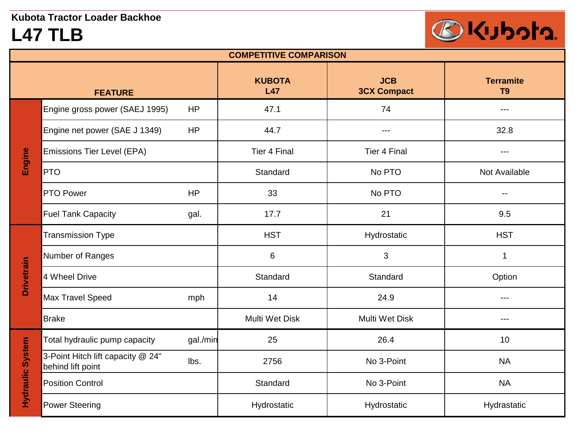## **L47 TLB**



| <b>COMPETITIVE COMPARISON</b> |                                                        |                      |                                  |                                    |                                                                                                                                                                                                                                                                                                                                                                                              |  |
|-------------------------------|--------------------------------------------------------|----------------------|----------------------------------|------------------------------------|----------------------------------------------------------------------------------------------------------------------------------------------------------------------------------------------------------------------------------------------------------------------------------------------------------------------------------------------------------------------------------------------|--|
| <b>FEATURE</b>                |                                                        | <b>KUBOTA</b><br>L47 | <b>JCB</b><br><b>3CX Compact</b> | <b>Terramite</b><br>T <sub>9</sub> |                                                                                                                                                                                                                                                                                                                                                                                              |  |
| Engine                        | Engine gross power (SAEJ 1995)                         | <b>HP</b>            | 47.1                             | 74                                 | $\sim$ $\sim$ $\sim$                                                                                                                                                                                                                                                                                                                                                                         |  |
|                               | Engine net power (SAE J 1349)                          | <b>HP</b>            | 44.7                             | ---                                | 32.8                                                                                                                                                                                                                                                                                                                                                                                         |  |
|                               | <b>Emissions Tier Level (EPA)</b>                      |                      | <b>Tier 4 Final</b>              | Tier 4 Final                       | $- - -$                                                                                                                                                                                                                                                                                                                                                                                      |  |
|                               | <b>PTO</b>                                             |                      | Standard                         | No PTO                             | Not Available                                                                                                                                                                                                                                                                                                                                                                                |  |
|                               | <b>PTO Power</b>                                       | <b>HP</b>            | 33                               | No PTO                             | --                                                                                                                                                                                                                                                                                                                                                                                           |  |
|                               | <b>Fuel Tank Capacity</b>                              | gal.                 | 17.7                             | 21                                 | 9.5                                                                                                                                                                                                                                                                                                                                                                                          |  |
|                               | <b>Transmission Type</b>                               |                      | <b>HST</b>                       | Hydrostatic                        | <b>HST</b>                                                                                                                                                                                                                                                                                                                                                                                   |  |
|                               | Number of Ranges                                       |                      | $\,6$                            | $\mathfrak{B}$                     | 1                                                                                                                                                                                                                                                                                                                                                                                            |  |
| <b>Drivetrain</b>             | 4 Wheel Drive                                          |                      | Standard                         | Standard                           | Option                                                                                                                                                                                                                                                                                                                                                                                       |  |
|                               | <b>Max Travel Speed</b>                                | mph                  | 14                               | 24.9                               | $\frac{1}{2} \frac{1}{2} \frac{1}{2} \frac{1}{2} \frac{1}{2} \frac{1}{2} \frac{1}{2} \frac{1}{2} \frac{1}{2} \frac{1}{2} \frac{1}{2} \frac{1}{2} \frac{1}{2} \frac{1}{2} \frac{1}{2} \frac{1}{2} \frac{1}{2} \frac{1}{2} \frac{1}{2} \frac{1}{2} \frac{1}{2} \frac{1}{2} \frac{1}{2} \frac{1}{2} \frac{1}{2} \frac{1}{2} \frac{1}{2} \frac{1}{2} \frac{1}{2} \frac{1}{2} \frac{1}{2} \frac{$ |  |
|                               | <b>Brake</b>                                           |                      | <b>Multi Wet Disk</b>            | <b>Multi Wet Disk</b>              | ---                                                                                                                                                                                                                                                                                                                                                                                          |  |
| <b>Hydraulic System</b>       | Total hydraulic pump capacity                          | gal./min             | 25                               | 26.4                               | 10                                                                                                                                                                                                                                                                                                                                                                                           |  |
|                               | 3-Point Hitch lift capacity @ 24"<br>behind lift point | lbs.                 | 2756                             | No 3-Point                         | <b>NA</b>                                                                                                                                                                                                                                                                                                                                                                                    |  |
|                               | <b>Position Control</b>                                |                      | Standard                         | No 3-Point                         | <b>NA</b>                                                                                                                                                                                                                                                                                                                                                                                    |  |
|                               | <b>Power Steering</b>                                  |                      | Hydrostatic                      | Hydrostatic                        | Hydrastatic                                                                                                                                                                                                                                                                                                                                                                                  |  |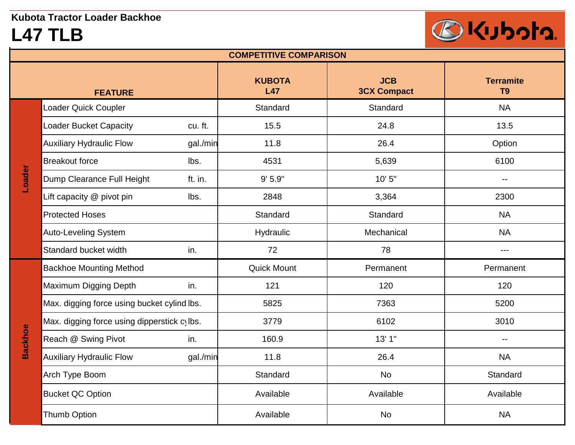## **L47 TLB**



| <b>COMPETITIVE COMPARISON</b> |                                             |          |                      |                                  |                                    |  |
|-------------------------------|---------------------------------------------|----------|----------------------|----------------------------------|------------------------------------|--|
|                               | <b>FEATURE</b>                              |          | <b>KUBOTA</b><br>L47 | <b>JCB</b><br><b>3CX Compact</b> | <b>Terramite</b><br>T <sub>9</sub> |  |
|                               | Loader Quick Coupler                        |          | Standard             | Standard                         | <b>NA</b>                          |  |
|                               | <b>Loader Bucket Capacity</b>               | cu. ft.  | 15.5                 | 24.8                             | 13.5                               |  |
|                               | <b>Auxiliary Hydraulic Flow</b>             | gal./min | 11.8                 | 26.4                             | Option                             |  |
|                               | <b>Breakout force</b>                       | lbs.     | 4531                 | 5,639                            | 6100                               |  |
| Loader                        | Dump Clearance Full Height                  | ft. in.  | 9'5.9''              | 10' 5"                           | $\overline{a}$                     |  |
|                               | Lift capacity @ pivot pin                   | lbs.     | 2848                 | 3,364                            | 2300                               |  |
|                               | <b>Protected Hoses</b>                      |          | Standard             | Standard                         | <b>NA</b>                          |  |
|                               | <b>Auto-Leveling System</b>                 |          | Hydraulic            | Mechanical                       | <b>NA</b>                          |  |
|                               | Standard bucket width                       | in.      | 72                   | 78                               | ---                                |  |
|                               | <b>Backhoe Mounting Method</b>              |          | <b>Quick Mount</b>   | Permanent                        | Permanent                          |  |
|                               | Maximum Digging Depth                       | in.      | 121                  | 120                              | 120                                |  |
|                               | Max. digging force using bucket cylind lbs. |          | 5825                 | 7363                             | 5200                               |  |
|                               | Max. digging force using dipperstick cylbs. |          | 3779                 | 6102                             | 3010                               |  |
| <b>Backhoe</b>                | Reach @ Swing Pivot                         | in.      | 160.9                | 13'1''                           | $\sim$                             |  |
|                               | <b>Auxiliary Hydraulic Flow</b>             | gal./min | 11.8                 | 26.4                             | <b>NA</b>                          |  |
|                               | Arch Type Boom                              |          | Standard             | No                               | Standard                           |  |
|                               | <b>Bucket QC Option</b>                     |          | Available            | Available                        | Available                          |  |
|                               | <b>Thumb Option</b>                         |          | Available            | <b>No</b>                        | <b>NA</b>                          |  |